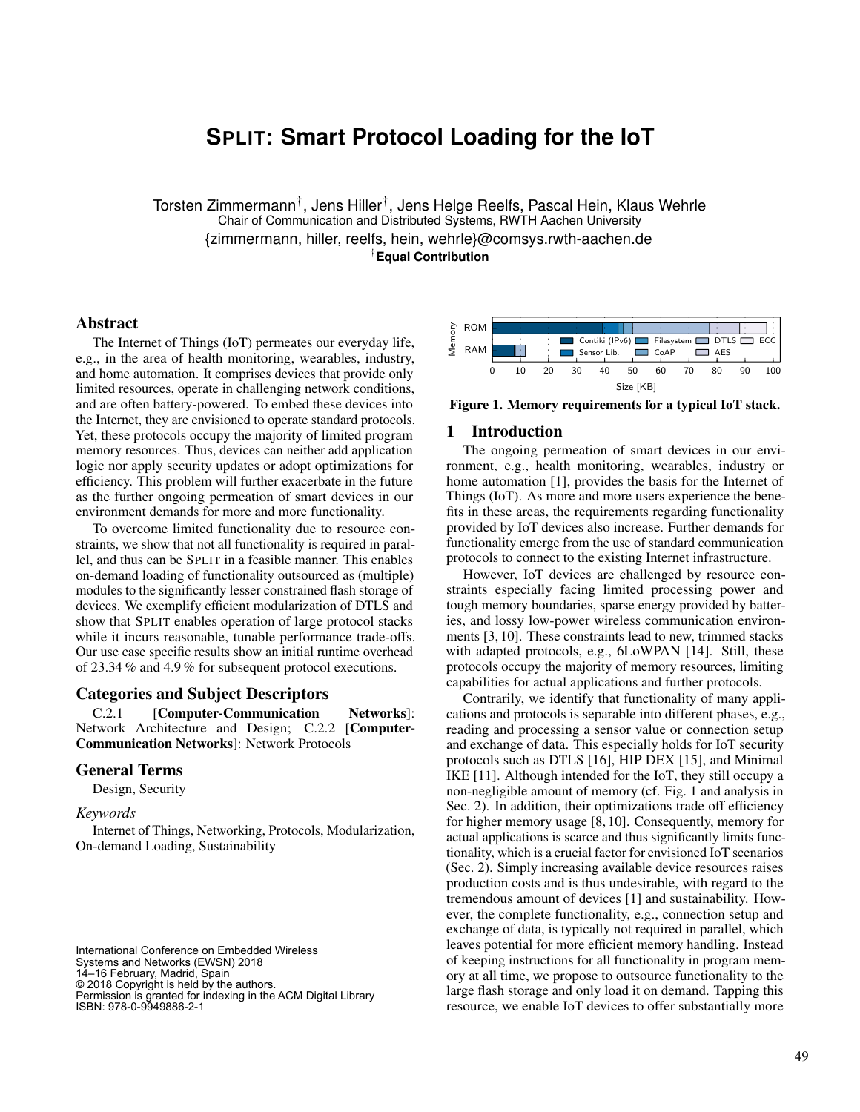# **SPLIT: Smart Protocol Loading for the IoT**

Torsten Zimmermann<sup>†</sup>, Jens Hiller<sup>†</sup>, Jens Helge Reelfs, Pascal Hein, Klaus Wehrle Chair of Communication and Distributed Systems, RWTH Aachen University {zimmermann, hiller, reelfs, hein, wehrle}@comsys.rwth-aachen.de †**Equal Contribution**

# Abstract

The Internet of Things (IoT) permeates our everyday life, e.g., in the area of health monitoring, wearables, industry, and home automation. It comprises devices that provide only limited resources, operate in challenging network conditions, and are often battery-powered. To embed these devices into the Internet, they are envisioned to operate standard protocols. Yet, these protocols occupy the majority of limited program memory resources. Thus, devices can neither add application logic nor apply security updates or adopt optimizations for efficiency. This problem will further exacerbate in the future as the further ongoing permeation of smart devices in our environment demands for more and more functionality.

To overcome limited functionality due to resource constraints, we show that not all functionality is required in parallel, and thus can be SPLIT in a feasible manner. This enables on-demand loading of functionality outsourced as (multiple) modules to the significantly lesser constrained flash storage of devices. We exemplify efficient modularization of DTLS and show that SPLIT enables operation of large protocol stacks while it incurs reasonable, tunable performance trade-offs. Our use case specific results show an initial runtime overhead of 23.34 % and 4.9 % for subsequent protocol executions.

#### Categories and Subject Descriptors

C.2.1 [Computer-Communication Networks]: Network Architecture and Design; C.2.2 [Computer-Communication Networks]: Network Protocols

#### General Terms

Design, Security

*Keywords*

Internet of Things, Networking, Protocols, Modularization, On-demand Loading, Sustainability

International Conference on Embedded Wireless Systems and Networks (EWSN) 2018 14–16 February, Madrid, Spain © 2018 Copyright is held by the authors. Permission is granted for indexing in the ACM Digital Library ISBN: 978-0-9949886-2-1



Figure 1. Memory requirements for a typical IoT stack.

# 1 Introduction

The ongoing permeation of smart devices in our environment, e.g., health monitoring, wearables, industry or home automation [1], provides the basis for the Internet of Things (IoT). As more and more users experience the benefits in these areas, the requirements regarding functionality provided by IoT devices also increase. Further demands for functionality emerge from the use of standard communication protocols to connect to the existing Internet infrastructure.

However, IoT devices are challenged by resource constraints especially facing limited processing power and tough memory boundaries, sparse energy provided by batteries, and lossy low-power wireless communication environments [3, 10]. These constraints lead to new, trimmed stacks with adapted protocols, e.g., 6LoWPAN [14]. Still, these protocols occupy the majority of memory resources, limiting capabilities for actual applications and further protocols.

Contrarily, we identify that functionality of many applications and protocols is separable into different phases, e.g., reading and processing a sensor value or connection setup and exchange of data. This especially holds for IoT security protocols such as DTLS [16], HIP DEX [15], and Minimal IKE [11]. Although intended for the IoT, they still occupy a non-negligible amount of memory (cf. Fig. 1 and analysis in Sec. 2). In addition, their optimizations trade off efficiency for higher memory usage [8, 10]. Consequently, memory for actual applications is scarce and thus significantly limits functionality, which is a crucial factor for envisioned IoT scenarios (Sec. 2). Simply increasing available device resources raises production costs and is thus undesirable, with regard to the tremendous amount of devices [1] and sustainability. However, the complete functionality, e.g., connection setup and exchange of data, is typically not required in parallel, which leaves potential for more efficient memory handling. Instead of keeping instructions for all functionality in program memory at all time, we propose to outsource functionality to the large flash storage and only load it on demand. Tapping this resource, we enable IoT devices to offer substantially more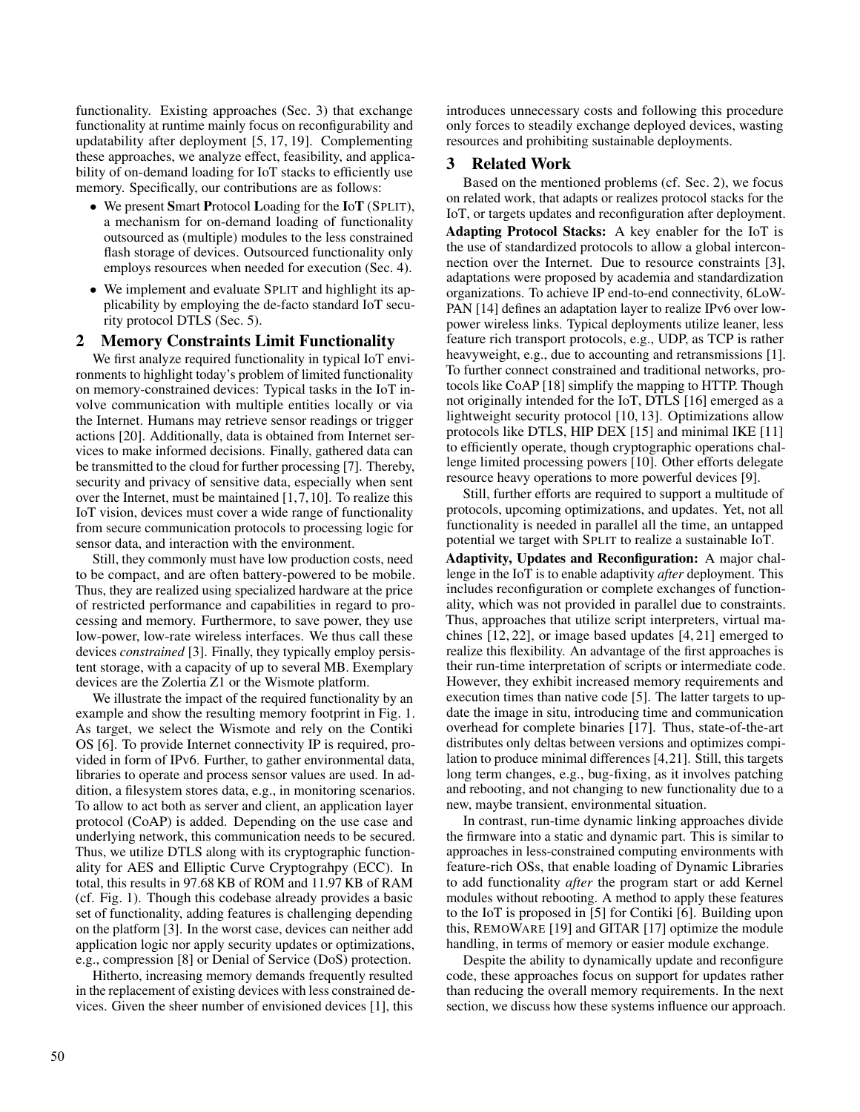functionality. Existing approaches (Sec. 3) that exchange functionality at runtime mainly focus on reconfigurability and updatability after deployment [5, 17, 19]. Complementing these approaches, we analyze effect, feasibility, and applicability of on-demand loading for IoT stacks to efficiently use memory. Specifically, our contributions are as follows:

- We present Smart Protocol Loading for the IoT (SPLIT), a mechanism for on-demand loading of functionality outsourced as (multiple) modules to the less constrained flash storage of devices. Outsourced functionality only employs resources when needed for execution (Sec. 4).
- We implement and evaluate SPLIT and highlight its applicability by employing the de-facto standard IoT security protocol DTLS (Sec. 5).

#### 2 Memory Constraints Limit Functionality

We first analyze required functionality in typical IoT environments to highlight today's problem of limited functionality on memory-constrained devices: Typical tasks in the IoT involve communication with multiple entities locally or via the Internet. Humans may retrieve sensor readings or trigger actions [20]. Additionally, data is obtained from Internet services to make informed decisions. Finally, gathered data can be transmitted to the cloud for further processing [7]. Thereby, security and privacy of sensitive data, especially when sent over the Internet, must be maintained [1,7,10]. To realize this IoT vision, devices must cover a wide range of functionality from secure communication protocols to processing logic for sensor data, and interaction with the environment.

Still, they commonly must have low production costs, need to be compact, and are often battery-powered to be mobile. Thus, they are realized using specialized hardware at the price of restricted performance and capabilities in regard to processing and memory. Furthermore, to save power, they use low-power, low-rate wireless interfaces. We thus call these devices *constrained* [3]. Finally, they typically employ persistent storage, with a capacity of up to several MB. Exemplary devices are the Zolertia Z1 or the Wismote platform.

We illustrate the impact of the required functionality by an example and show the resulting memory footprint in Fig. 1. As target, we select the Wismote and rely on the Contiki OS [6]. To provide Internet connectivity IP is required, provided in form of IPv6. Further, to gather environmental data, libraries to operate and process sensor values are used. In addition, a filesystem stores data, e.g., in monitoring scenarios. To allow to act both as server and client, an application layer protocol (CoAP) is added. Depending on the use case and underlying network, this communication needs to be secured. Thus, we utilize DTLS along with its cryptographic functionality for AES and Elliptic Curve Cryptograhpy (ECC). In total, this results in 97.68 KB of ROM and 11.97 KB of RAM (cf. Fig. 1). Though this codebase already provides a basic set of functionality, adding features is challenging depending on the platform [3]. In the worst case, devices can neither add application logic nor apply security updates or optimizations, e.g., compression [8] or Denial of Service (DoS) protection.

Hitherto, increasing memory demands frequently resulted in the replacement of existing devices with less constrained devices. Given the sheer number of envisioned devices [1], this

introduces unnecessary costs and following this procedure only forces to steadily exchange deployed devices, wasting resources and prohibiting sustainable deployments.

#### 3 Related Work

Based on the mentioned problems (cf. Sec. 2), we focus on related work, that adapts or realizes protocol stacks for the IoT, or targets updates and reconfiguration after deployment. Adapting Protocol Stacks: A key enabler for the IoT is the use of standardized protocols to allow a global interconnection over the Internet. Due to resource constraints [3], adaptations were proposed by academia and standardization organizations. To achieve IP end-to-end connectivity, 6LoW-PAN [14] defines an adaptation layer to realize IPv6 over lowpower wireless links. Typical deployments utilize leaner, less feature rich transport protocols, e.g., UDP, as TCP is rather heavyweight, e.g., due to accounting and retransmissions [1]. To further connect constrained and traditional networks, protocols like CoAP [18] simplify the mapping to HTTP. Though not originally intended for the IoT, DTLS [16] emerged as a lightweight security protocol [10, 13]. Optimizations allow protocols like DTLS, HIP DEX [15] and minimal IKE [11] to efficiently operate, though cryptographic operations challenge limited processing powers [10]. Other efforts delegate resource heavy operations to more powerful devices [9].

Still, further efforts are required to support a multitude of protocols, upcoming optimizations, and updates. Yet, not all functionality is needed in parallel all the time, an untapped potential we target with SPLIT to realize a sustainable IoT.

Adaptivity, Updates and Reconfiguration: A major challenge in the IoT is to enable adaptivity *after* deployment. This includes reconfiguration or complete exchanges of functionality, which was not provided in parallel due to constraints. Thus, approaches that utilize script interpreters, virtual machines [12, 22], or image based updates [4, 21] emerged to realize this flexibility. An advantage of the first approaches is their run-time interpretation of scripts or intermediate code. However, they exhibit increased memory requirements and execution times than native code [5]. The latter targets to update the image in situ, introducing time and communication overhead for complete binaries [17]. Thus, state-of-the-art distributes only deltas between versions and optimizes compilation to produce minimal differences [4,21]. Still, this targets long term changes, e.g., bug-fixing, as it involves patching and rebooting, and not changing to new functionality due to a new, maybe transient, environmental situation.

In contrast, run-time dynamic linking approaches divide the firmware into a static and dynamic part. This is similar to approaches in less-constrained computing environments with feature-rich OSs, that enable loading of Dynamic Libraries to add functionality *after* the program start or add Kernel modules without rebooting. A method to apply these features to the IoT is proposed in [5] for Contiki [6]. Building upon this, REMOWARE [19] and GITAR [17] optimize the module handling, in terms of memory or easier module exchange.

Despite the ability to dynamically update and reconfigure code, these approaches focus on support for updates rather than reducing the overall memory requirements. In the next section, we discuss how these systems influence our approach.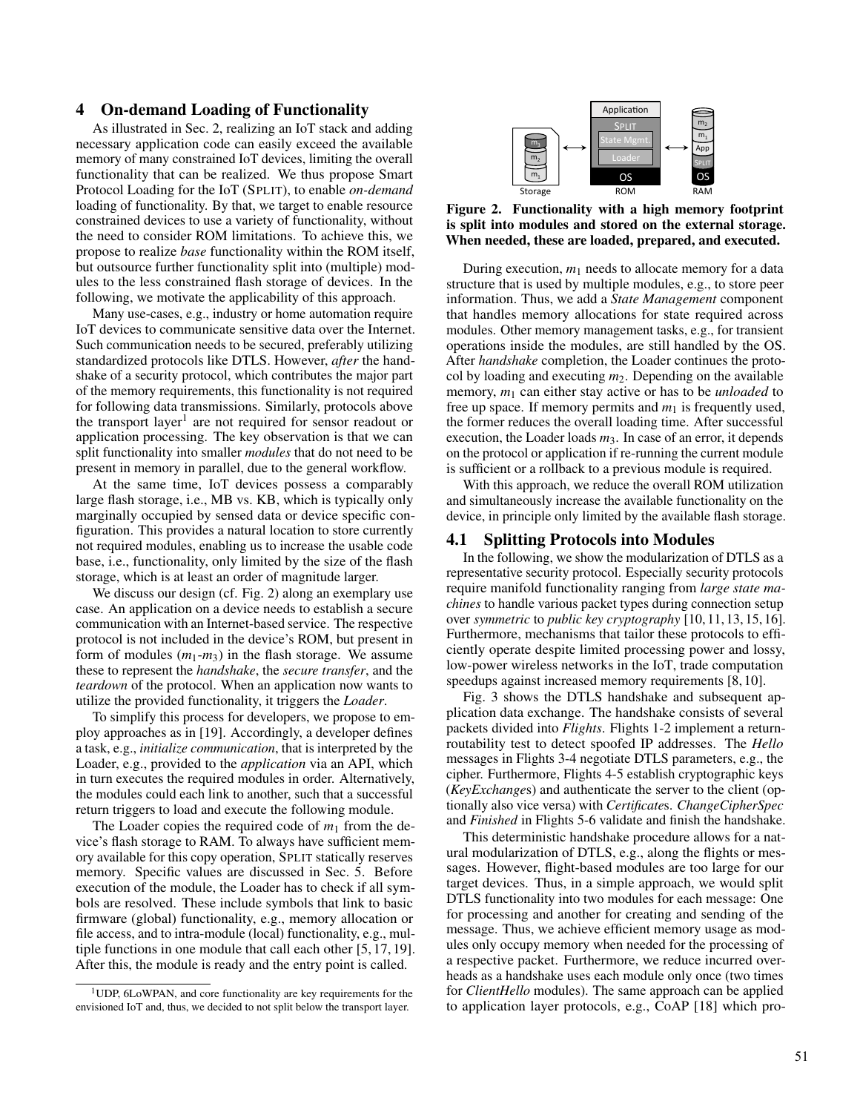# 4 On-demand Loading of Functionality

As illustrated in Sec. 2, realizing an IoT stack and adding necessary application code can easily exceed the available memory of many constrained IoT devices, limiting the overall functionality that can be realized. We thus propose Smart Protocol Loading for the IoT (SPLIT), to enable *on-demand* loading of functionality. By that, we target to enable resource constrained devices to use a variety of functionality, without the need to consider ROM limitations. To achieve this, we propose to realize *base* functionality within the ROM itself, but outsource further functionality split into (multiple) modules to the less constrained flash storage of devices. In the following, we motivate the applicability of this approach.

Many use-cases, e.g., industry or home automation require IoT devices to communicate sensitive data over the Internet. Such communication needs to be secured, preferably utilizing standardized protocols like DTLS. However, *after* the handshake of a security protocol, which contributes the major part of the memory requirements, this functionality is not required for following data transmissions. Similarly, protocols above the transport layer<sup>1</sup> are not required for sensor readout or application processing. The key observation is that we can split functionality into smaller *modules* that do not need to be present in memory in parallel, due to the general workflow.

At the same time, IoT devices possess a comparably large flash storage, i.e., MB vs. KB, which is typically only marginally occupied by sensed data or device specific configuration. This provides a natural location to store currently not required modules, enabling us to increase the usable code base, i.e., functionality, only limited by the size of the flash storage, which is at least an order of magnitude larger.

We discuss our design (cf. Fig. 2) along an exemplary use case. An application on a device needs to establish a secure communication with an Internet-based service. The respective protocol is not included in the device's ROM, but present in form of modules  $(m_1-m_3)$  in the flash storage. We assume these to represent the *handshake*, the *secure transfer*, and the *teardown* of the protocol. When an application now wants to utilize the provided functionality, it triggers the *Loader*.

To simplify this process for developers, we propose to employ approaches as in [19]. Accordingly, a developer defines a task, e.g., *initialize communication*, that is interpreted by the Loader, e.g., provided to the *application* via an API, which in turn executes the required modules in order. Alternatively, the modules could each link to another, such that a successful return triggers to load and execute the following module.

The Loader copies the required code of  $m_1$  from the device's flash storage to RAM. To always have sufficient memory available for this copy operation, SPLIT statically reserves memory. Specific values are discussed in Sec. 5. Before execution of the module, the Loader has to check if all symbols are resolved. These include symbols that link to basic firmware (global) functionality, e.g., memory allocation or file access, and to intra-module (local) functionality, e.g., multiple functions in one module that call each other [5, 17, 19]. After this, the module is ready and the entry point is called.



Figure 2. Functionality with a high memory footprint is split into modules and stored on the external storage. When needed, these are loaded, prepared, and executed.

During execution,  $m_1$  needs to allocate memory for a data structure that is used by multiple modules, e.g., to store peer information. Thus, we add a *State Management* component that handles memory allocations for state required across modules. Other memory management tasks, e.g., for transient operations inside the modules, are still handled by the OS. After *handshake* completion, the Loader continues the protocol by loading and executing *m*2. Depending on the available memory,  $m_1$  can either stay active or has to be *unloaded* to free up space. If memory permits and  $m_1$  is frequently used, the former reduces the overall loading time. After successful execution, the Loader loads  $m_3$ . In case of an error, it depends on the protocol or application if re-running the current module is sufficient or a rollback to a previous module is required.

With this approach, we reduce the overall ROM utilization and simultaneously increase the available functionality on the device, in principle only limited by the available flash storage.

#### 4.1 Splitting Protocols into Modules

In the following, we show the modularization of DTLS as a representative security protocol. Especially security protocols require manifold functionality ranging from *large state machines* to handle various packet types during connection setup over *symmetric* to *public key cryptography* [10, 11, 13, 15, 16]. Furthermore, mechanisms that tailor these protocols to efficiently operate despite limited processing power and lossy, low-power wireless networks in the IoT, trade computation speedups against increased memory requirements [8, 10].

Fig. 3 shows the DTLS handshake and subsequent application data exchange. The handshake consists of several packets divided into *Flights*. Flights 1-2 implement a returnroutability test to detect spoofed IP addresses. The *Hello* messages in Flights 3-4 negotiate DTLS parameters, e.g., the cipher. Furthermore, Flights 4-5 establish cryptographic keys (*KeyExchange*s) and authenticate the server to the client (optionally also vice versa) with *Certificate*s. *ChangeCipherSpec* and *Finished* in Flights 5-6 validate and finish the handshake.

This deterministic handshake procedure allows for a natural modularization of DTLS, e.g., along the flights or messages. However, flight-based modules are too large for our target devices. Thus, in a simple approach, we would split DTLS functionality into two modules for each message: One for processing and another for creating and sending of the message. Thus, we achieve efficient memory usage as modules only occupy memory when needed for the processing of a respective packet. Furthermore, we reduce incurred overheads as a handshake uses each module only once (two times for *ClientHello* modules). The same approach can be applied to application layer protocols, e.g., CoAP [18] which pro-

 $1$ UDP, 6LoWPAN, and core functionality are key requirements for the envisioned IoT and, thus, we decided to not split below the transport layer.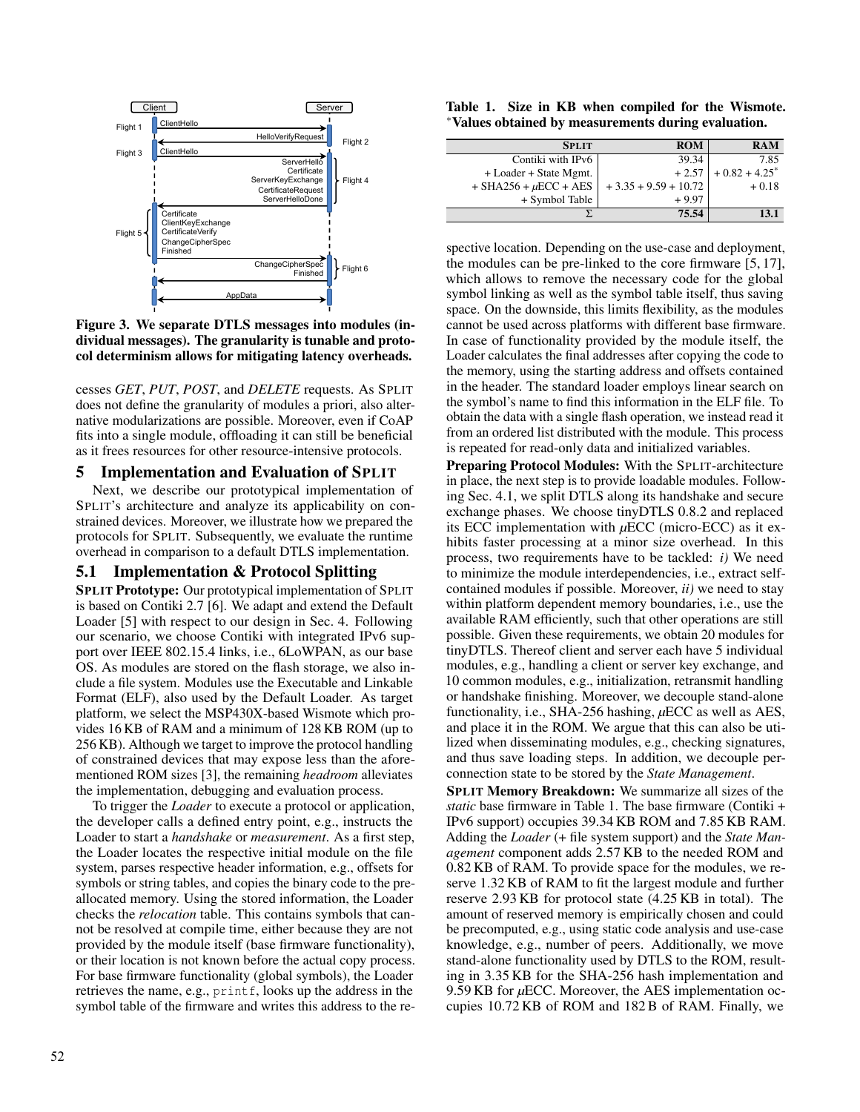

Figure 3. We separate DTLS messages into modules (individual messages). The granularity is tunable and protocol determinism allows for mitigating latency overheads.

cesses *GET*, *PUT*, *POST*, and *DELETE* requests. As SPLIT does not define the granularity of modules a priori, also alternative modularizations are possible. Moreover, even if CoAP fits into a single module, offloading it can still be beneficial as it frees resources for other resource-intensive protocols.

# 5 Implementation and Evaluation of SPLIT

Next, we describe our prototypical implementation of SPLIT's architecture and analyze its applicability on constrained devices. Moreover, we illustrate how we prepared the protocols for SPLIT. Subsequently, we evaluate the runtime overhead in comparison to a default DTLS implementation.

# 5.1 Implementation & Protocol Splitting

SPLIT Prototype: Our prototypical implementation of SPLIT is based on Contiki 2.7 [6]. We adapt and extend the Default Loader [5] with respect to our design in Sec. 4. Following our scenario, we choose Contiki with integrated IPv6 support over IEEE 802.15.4 links, i.e., 6LoWPAN, as our base OS. As modules are stored on the flash storage, we also include a file system. Modules use the Executable and Linkable Format (ELF), also used by the Default Loader. As target platform, we select the MSP430X-based Wismote which provides 16 KB of RAM and a minimum of 128 KB ROM (up to 256 KB). Although we target to improve the protocol handling of constrained devices that may expose less than the aforementioned ROM sizes [3], the remaining *headroom* alleviates the implementation, debugging and evaluation process.

To trigger the *Loader* to execute a protocol or application, the developer calls a defined entry point, e.g., instructs the Loader to start a *handshake* or *measurement*. As a first step, the Loader locates the respective initial module on the file system, parses respective header information, e.g., offsets for symbols or string tables, and copies the binary code to the preallocated memory. Using the stored information, the Loader checks the *relocation* table. This contains symbols that cannot be resolved at compile time, either because they are not provided by the module itself (base firmware functionality), or their location is not known before the actual copy process. For base firmware functionality (global symbols), the Loader retrieves the name, e.g., printf, looks up the address in the symbol table of the firmware and writes this address to the re-

Table 1. Size in KB when compiled for the Wismote. <sup>∗</sup>Values obtained by measurements during evaluation.

| <b>SPLIT</b>                 | <b>ROM</b>             | <b>RAM</b>                  |
|------------------------------|------------------------|-----------------------------|
| Contiki with IPv6            | 39.34                  | 7.85                        |
| + Loader + State Mgmt.       | $+2.57$                | $+0.82 + 4.25$ <sup>*</sup> |
| $+$ SHA256 + $\mu$ ECC + AES | $+3.35 + 9.59 + 10.72$ | $+0.18$                     |
| + Symbol Table               | $+9.97$                |                             |
|                              | 75.54                  | 13.1                        |

spective location. Depending on the use-case and deployment, the modules can be pre-linked to the core firmware [5, 17], which allows to remove the necessary code for the global symbol linking as well as the symbol table itself, thus saving space. On the downside, this limits flexibility, as the modules cannot be used across platforms with different base firmware. In case of functionality provided by the module itself, the Loader calculates the final addresses after copying the code to the memory, using the starting address and offsets contained in the header. The standard loader employs linear search on the symbol's name to find this information in the ELF file. To obtain the data with a single flash operation, we instead read it from an ordered list distributed with the module. This process is repeated for read-only data and initialized variables.

Preparing Protocol Modules: With the SPLIT-architecture in place, the next step is to provide loadable modules. Following Sec. 4.1, we split DTLS along its handshake and secure exchange phases. We choose tinyDTLS 0.8.2 and replaced its ECC implementation with *µ*ECC (micro-ECC) as it exhibits faster processing at a minor size overhead. In this process, two requirements have to be tackled: *i)* We need to minimize the module interdependencies, i.e., extract selfcontained modules if possible. Moreover, *ii)* we need to stay within platform dependent memory boundaries, i.e., use the available RAM efficiently, such that other operations are still possible. Given these requirements, we obtain 20 modules for tinyDTLS. Thereof client and server each have 5 individual modules, e.g., handling a client or server key exchange, and 10 common modules, e.g., initialization, retransmit handling or handshake finishing. Moreover, we decouple stand-alone functionality, i.e., SHA-256 hashing, *µ*ECC as well as AES, and place it in the ROM. We argue that this can also be utilized when disseminating modules, e.g., checking signatures, and thus save loading steps. In addition, we decouple perconnection state to be stored by the *State Management*.

SPLIT Memory Breakdown: We summarize all sizes of the *static* base firmware in Table 1. The base firmware (Contiki + IPv6 support) occupies 39.34 KB ROM and 7.85 KB RAM. Adding the *Loader* (+ file system support) and the *State Management* component adds 2.57 KB to the needed ROM and 0.82 KB of RAM. To provide space for the modules, we reserve 1.32 KB of RAM to fit the largest module and further reserve 2.93 KB for protocol state (4.25 KB in total). The amount of reserved memory is empirically chosen and could be precomputed, e.g., using static code analysis and use-case knowledge, e.g., number of peers. Additionally, we move stand-alone functionality used by DTLS to the ROM, resulting in 3.35 KB for the SHA-256 hash implementation and 9.59 KB for µECC. Moreover, the AES implementation occupies 10.72 KB of ROM and 182 B of RAM. Finally, we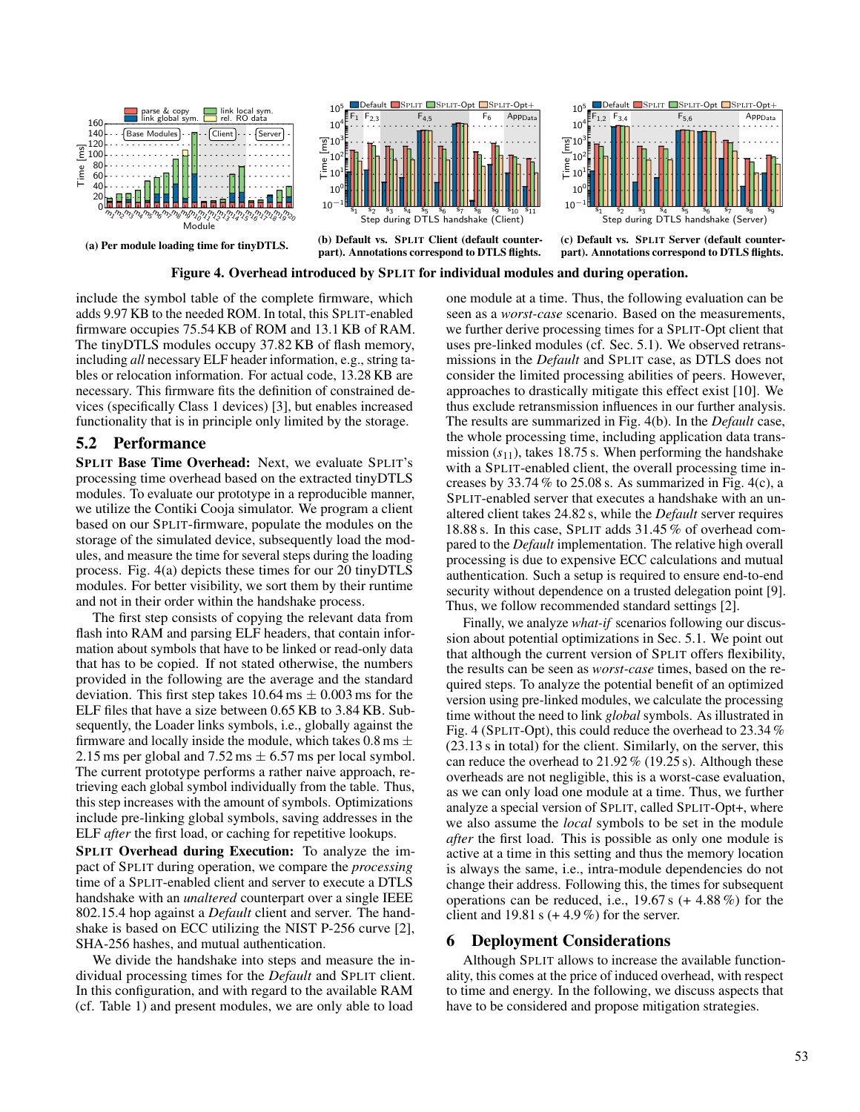

#### Figure 4. Overhead introduced by SPLIT for individual modules and during operation.

include the symbol table of the complete firmware, which adds 9.97 KB to the needed ROM. In total, this SPLIT-enabled firmware occupies 75.54 KB of ROM and 13.1 KB of RAM. The tinyDTLS modules occupy 37.82 KB of flash memory, including *all* necessary ELF header information, e.g., string tables or relocation information. For actual code, 13.28 KB are necessary. This firmware fits the definition of constrained devices (specifically Class 1 devices) [3], but enables increased functionality that is in principle only limited by the storage.

#### 5.2 Performance

SPLIT Base Time Overhead: Next, we evaluate SPLIT's processing time overhead based on the extracted tinyDTLS modules. To evaluate our prototype in a reproducible manner, we utilize the Contiki Cooja simulator. We program a client based on our SPLIT-firmware, populate the modules on the storage of the simulated device, subsequently load the modules, and measure the time for several steps during the loading process. Fig. 4(a) depicts these times for our 20 tinyDTLS modules. For better visibility, we sort them by their runtime and not in their order within the handshake process.

The first step consists of copying the relevant data from flash into RAM and parsing ELF headers, that contain information about symbols that have to be linked or read-only data that has to be copied. If not stated otherwise, the numbers provided in the following are the average and the standard deviation. This first step takes  $10.64 \text{ ms} \pm 0.003 \text{ ms}$  for the ELF files that have a size between 0.65 KB to 3.84 KB. Subsequently, the Loader links symbols, i.e., globally against the firmware and locally inside the module, which takes  $0.8 \text{ ms } \pm$ 2.15 ms per global and  $7.52 \text{ ms} \pm 6.57 \text{ ms}$  per local symbol. The current prototype performs a rather naive approach, retrieving each global symbol individually from the table. Thus, this step increases with the amount of symbols. Optimizations include pre-linking global symbols, saving addresses in the ELF *after* the first load, or caching for repetitive lookups.

SPLIT Overhead during Execution: To analyze the impact of SPLIT during operation, we compare the *processing* time of a SPLIT-enabled client and server to execute a DTLS handshake with an *unaltered* counterpart over a single IEEE 802.15.4 hop against a *Default* client and server. The handshake is based on ECC utilizing the NIST P-256 curve [2], SHA-256 hashes, and mutual authentication.

We divide the handshake into steps and measure the individual processing times for the *Default* and SPLIT client. In this configuration, and with regard to the available RAM (cf. Table 1) and present modules, we are only able to load

one module at a time. Thus, the following evaluation can be seen as a *worst-case* scenario. Based on the measurements, we further derive processing times for a SPLIT-Opt client that uses pre-linked modules (cf. Sec. 5.1). We observed retransmissions in the *Default* and SPLIT case, as DTLS does not consider the limited processing abilities of peers. However, approaches to drastically mitigate this effect exist [10]. We thus exclude retransmission influences in our further analysis. The results are summarized in Fig. 4(b). In the *Default* case, the whole processing time, including application data transmission  $(s_{11})$ , takes 18.75 s. When performing the handshake with a SPLIT-enabled client, the overall processing time increases by  $33.74\%$  to  $25.08$  s. As summarized in Fig. 4(c), a SPLIT-enabled server that executes a handshake with an unaltered client takes 24.82 s, while the *Default* server requires 18.88 s. In this case, SPLIT adds 31.45 % of overhead compared to the *Default* implementation. The relative high overall processing is due to expensive ECC calculations and mutual authentication. Such a setup is required to ensure end-to-end security without dependence on a trusted delegation point [9]. Thus, we follow recommended standard settings [2].

Finally, we analyze *what-if* scenarios following our discussion about potential optimizations in Sec. 5.1. We point out that although the current version of SPLIT offers flexibility, the results can be seen as *worst-case* times, based on the required steps. To analyze the potential benefit of an optimized version using pre-linked modules, we calculate the processing time without the need to link *global* symbols. As illustrated in Fig. 4 (SPLIT-Opt), this could reduce the overhead to 23.34 % (23.13 s in total) for the client. Similarly, on the server, this can reduce the overhead to 21.92 % (19.25 s). Although these overheads are not negligible, this is a worst-case evaluation, as we can only load one module at a time. Thus, we further analyze a special version of SPLIT, called SPLIT-Opt+, where we also assume the *local* symbols to be set in the module *after* the first load. This is possible as only one module is active at a time in this setting and thus the memory location is always the same, i.e., intra-module dependencies do not change their address. Following this, the times for subsequent operations can be reduced, i.e.,  $19.67 s (+ 4.88\%)$  for the client and 19.81 s  $(+ 4.9\%)$  for the server.

# 6 Deployment Considerations

Although SPLIT allows to increase the available functionality, this comes at the price of induced overhead, with respect to time and energy. In the following, we discuss aspects that have to be considered and propose mitigation strategies.